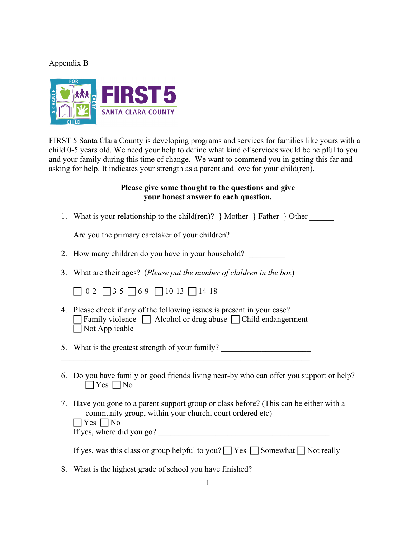## Appendix B



FIRST 5 Santa Clara County is developing programs and services for families like yours with a child 0-5 years old. We need your help to define what kind of services would be helpful to you and your family during this time of change. We want to commend you in getting this far and asking for help. It indicates your strength as a parent and love for your child(ren).

## **Please give some thought to the questions and give your honest answer to each question.**

1. What is your relationship to the child(ren)?  $}$  Mother  $}$  Father  $}$  Other

Are you the primary caretaker of your children?

- 2. How many children do you have in your household?
- 3. What are their ages? (*Please put the number of children in the box*)

 $\Box$  0-2  $\Box$  3-5  $\Box$  6-9  $\Box$  10-13  $\Box$  14-18

4. Please check if any of the following issues is present in your case?  $\Box$  Family violence  $\Box$  Alcohol or drug abuse  $\Box$  Child endangerment  $\Box$  Not Applicable

5. What is the greatest strength of your family?  $\mathcal{L}_\text{max}$  , and the contract of the contract of the contract of the contract of the contract of the contract of

- 6. Do you have family or good friends living near-by who can offer you support or help?  $\Box$  Yes  $\Box$  No
- 7. Have you gone to a parent support group or class before? (This can be either with a community group, within your church, court ordered etc)  $\Box$  Yes  $\Box$  No

If yes, where did you go?  $\frac{1}{\sqrt{1-\frac{1}{n}}}$ 

|  |  | If yes, was this class or group helpful to you? $\Box$ Yes $\Box$ Somewhat $\Box$ Not really |
|--|--|----------------------------------------------------------------------------------------------|
|--|--|----------------------------------------------------------------------------------------------|

8. What is the highest grade of school you have finished?